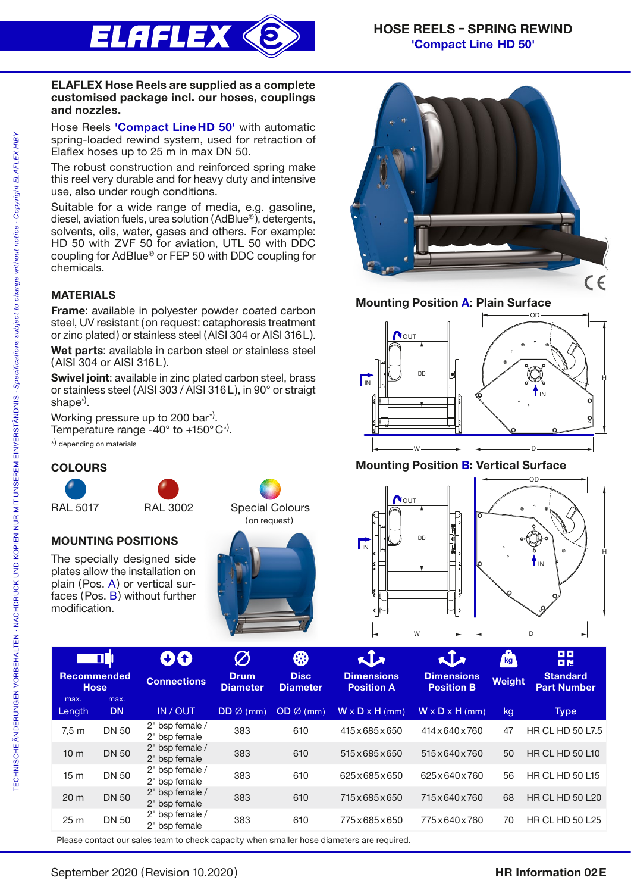

#### ELAFLEX Hose Reels are supplied as a complete customised package incl. our hoses, couplings and nozzles.

Hose Reels 'Compact Line HD 50' with automatic spring-loaded rewind system, used for retraction of Elaflex hoses up to 25 m in max DN 50.

The robust construction and reinforced spring make this reel very durable and for heavy duty and intensive use, also under rough conditions.

Suitable for a wide range of media, e.g. gasoline, diesel, aviation fuels, urea solution (AdBlue® ), detergents, solvents, oils, water, gases and others. For example: HD 50 with ZVF 50 for aviation, UTL 50 with DDC coupling for AdBlue® or FEP 50 with DDC coupling for chemicals.

# MATERIALS

Frame: available in polyester powder coated carbon steel, UV resistant (on request: cataphoresis treatment or zinc plated) or stainless steel (AISI 304 or AISI 316L).

Wet parts: available in carbon steel or stainless steel (AISI 304 or AISI 316L).

Swivel joint: available in zinc plated carbon steel, brass or stainless steel (AISI 303 / AISI 316L), in 90° or straigt shape\*) .

Working pressure up to 200 bar<sup>\*)</sup>. Temperature range -40 $^{\circ}$  to +150 $^{\circ}$ C<sup>\*</sup>). \*) depending on materials

## **COLOURS**







The specially designed side plates allow the installation on plain (Pos. A) or vertical surfaces (Pos. B) without further modification.





## Mounting Position A: Plain Surface



## Mounting Position B: Vertical Surface





|                                   | <b>oli</b> l      | 00                               | $\emptyset$                    | ₩                              | $\mathbf{L}$                           | $\mathbf{L}$                           | ш<br>kg <sub>1</sub> | u u<br>日限                             |
|-----------------------------------|-------------------|----------------------------------|--------------------------------|--------------------------------|----------------------------------------|----------------------------------------|----------------------|---------------------------------------|
| <b>Recommended</b><br><b>Hose</b> |                   | <b>Connections</b>               | <b>Drum</b><br><b>Diameter</b> | <b>Disc</b><br><b>Diameter</b> | <b>Dimensions</b><br><b>Position A</b> | <b>Dimensions</b><br><b>Position B</b> | <b>Weight</b>        | <b>Standard</b><br><b>Part Number</b> |
| max.<br>Length                    | max.<br><b>DN</b> | IN / OUT                         | $DD \oslash (mm)$              | $OD \emptyset$ (mm)            | $W \times D \times H$ (mm)             | $W \times D \times H$ (mm)             | kg                   | <b>Type</b>                           |
| 7.5 <sub>m</sub>                  | <b>DN 50</b>      | 2" bsp female /<br>2" bsp female | 383                            | 610                            | 415 x 685 x 650                        | 414 x 640 x 760                        | 47                   | <b>HR CL HD 50 L7.5</b>               |
| 10 <sub>m</sub>                   | <b>DN 50</b>      | 2" bsp female /<br>2" bsp female | 383                            | 610                            | 515x685x650                            | 515 x 640 x 760                        | 50                   | <b>HR CL HD 50 L10</b>                |
| 15 <sub>m</sub>                   | <b>DN 50</b>      | 2" bsp female /<br>2" bsp female | 383                            | 610                            | 625x685x650                            | 625x640x760                            | 56                   | <b>HR CL HD 50 L15</b>                |
| 20 <sub>m</sub>                   | <b>DN 50</b>      | 2" bsp female /<br>2" bsp female | 383                            | 610                            | 715x685x650                            | 715 x 640 x 760                        | 68                   | <b>HR CL HD 50 L20</b>                |
| 25 <sub>m</sub>                   | <b>DN 50</b>      | 2" bsp female /<br>2" bsp female | 383                            | 610                            | 775x685x650                            | 775x640x760                            | 70                   | <b>HR CL HD 50 L25</b>                |
|                                   |                   |                                  |                                |                                |                                        |                                        |                      |                                       |

Please contact our sales team to check capacity when smaller hose diameters are required.